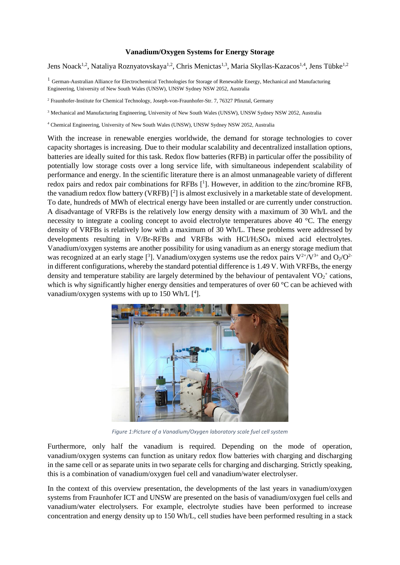## **Vanadium/Oxygen Systems for Energy Storage**

Jens Noack<sup>1,2</sup>, Nataliya Roznyatovskaya<sup>1,2</sup>, Chris Menictas<sup>1,3</sup>, Maria Skyllas-Kazacos<sup>1,4</sup>, Jens Tübke<sup>1,2</sup>

<sup>1</sup> German-Australian Alliance for Electrochemical Technologies for Storage of Renewable Energy, Mechanical and Manufacturing Engineering, University of New South Wales (UNSW), UNSW Sydney NSW 2052, Australia

<sup>2</sup> Fraunhofer-Institute for Chemical Technology, Joseph-von-Fraunhofer-Str. 7, 76327 Pfinztal, Germany

<sup>3</sup> Mechanical and Manufacturing Engineering, University of New South Wales (UNSW), UNSW Sydney NSW 2052, Australia

<sup>4</sup> Chemical Engineering, University of New South Wales (UNSW), UNSW Sydney NSW 2052, Australia

With the increase in renewable energies worldwide, the demand for storage technologies to cover capacity shortages is increasing. Due to their modular scalability and decentralized installation options, batteries are ideally suited for this task. Redox flow batteries (RFB) in particular offer the possibility of potentially low storage costs over a long service life, with simultaneous independent scalability of performance and energy. In the scientific literature there is an almost unmanageable variety of different redox pairs and redox pair combinations for RFBs [<sup>1</sup>]. However, in addition to the zinc/bromine RFB, the vanadium redox flow battery (VRFB)  $[2]$  is almost exclusively in a marketable state of development. To date, hundreds of MWh of electrical energy have been installed or are currently under construction. A disadvantage of VRFBs is the relatively low energy density with a maximum of 30 Wh/L and the necessity to integrate a cooling concept to avoid electrolyte temperatures above 40 °C. The energy density of VRFBs is relatively low with a maximum of 30 Wh/L. These problems were addressed by developments resulting in V/Br-RFBs and VRFBs with HCl/H<sub>2</sub>SO<sub>4</sub> mixed acid electrolytes. Vanadium/oxygen systems are another possibility for using vanadium as an energy storage medium that was recognized at an early stage [<sup>3</sup>]. Vanadium/oxygen systems use the redox pairs  $V^{2+}/V^{3+}$  and  $O_2/O^{2-}$ in different configurations, whereby the standard potential difference is 1.49 V. With VRFBs, the energy density and temperature stability are largely determined by the behaviour of pentavalent  $VO_2^+$  cations, which is why significantly higher energy densities and temperatures of over 60 °C can be achieved with vanadium/oxygen systems with up to 150 Wh/L  $[4]$ .



*Figure 1:Picture of a Vanadium/Oxygen laboratory scale fuel cell system*

Furthermore, only half the vanadium is required. Depending on the mode of operation, vanadium/oxygen systems can function as unitary redox flow batteries with charging and discharging in the same cell or as separate units in two separate cells for charging and discharging. Strictly speaking, this is a combination of vanadium/oxygen fuel cell and vanadium/water electrolyser.

In the context of this overview presentation, the developments of the last years in vanadium/oxygen systems from Fraunhofer ICT and UNSW are presented on the basis of vanadium/oxygen fuel cells and vanadium/water electrolysers. For example, electrolyte studies have been performed to increase concentration and energy density up to 150 Wh/L, cell studies have been performed resulting in a stack